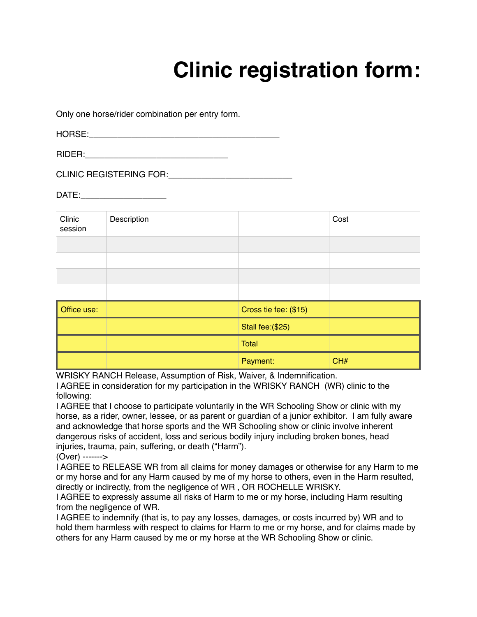## **Clinic registration form:**

Only one horse/rider combination per entry form.

HORSE:\_\_\_\_\_\_\_\_\_\_\_\_\_\_\_\_\_\_\_\_\_\_\_\_\_\_\_\_\_\_\_\_\_\_\_\_\_\_\_\_

RIDER:

CLINIC REGISTERING FOR:\_\_\_\_\_\_\_\_\_\_\_\_\_\_\_\_\_\_\_\_\_\_\_\_\_\_

DATE:\_\_\_\_\_\_\_\_\_\_\_\_\_\_\_\_\_\_

| Clinic<br>session | Description |                       | Cost |
|-------------------|-------------|-----------------------|------|
|                   |             |                       |      |
|                   |             |                       |      |
|                   |             |                       |      |
|                   |             |                       |      |
| Office use:       |             | Cross tie fee: (\$15) |      |
|                   |             | Stall fee: (\$25)     |      |
|                   |             | Total                 |      |
|                   |             | Payment:              | CH#  |

WRISKY RANCH Release, Assumption of Risk, Waiver, & Indemnification.

I AGREE in consideration for my participation in the WRISKY RANCH (WR) clinic to the following:

I AGREE that I choose to participate voluntarily in the WR Schooling Show or clinic with my horse, as a rider, owner, lessee, or as parent or guardian of a junior exhibitor. I am fully aware and acknowledge that horse sports and the WR Schooling show or clinic involve inherent dangerous risks of accident, loss and serious bodily injury including broken bones, head injuries, trauma, pain, suffering, or death ("Harm").

(Over) ------->

I AGREE to RELEASE WR from all claims for money damages or otherwise for any Harm to me or my horse and for any Harm caused by me of my horse to others, even in the Harm resulted, directly or indirectly, from the negligence of WR , OR ROCHELLE WRISKY.

I AGREE to expressly assume all risks of Harm to me or my horse, including Harm resulting from the negligence of WR.

I AGREE to indemnify (that is, to pay any losses, damages, or costs incurred by) WR and to hold them harmless with respect to claims for Harm to me or my horse, and for claims made by others for any Harm caused by me or my horse at the WR Schooling Show or clinic.